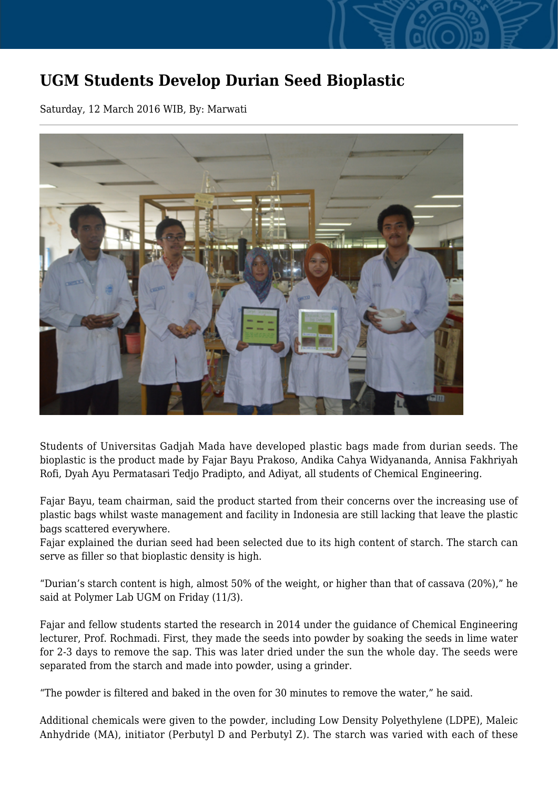## **UGM Students Develop Durian Seed Bioplastic**

Saturday, 12 March 2016 WIB, By: Marwati



Students of Universitas Gadjah Mada have developed plastic bags made from durian seeds. The bioplastic is the product made by Fajar Bayu Prakoso, Andika Cahya Widyananda, Annisa Fakhriyah Rofi, Dyah Ayu Permatasari Tedjo Pradipto, and Adiyat, all students of Chemical Engineering.

Fajar Bayu, team chairman, said the product started from their concerns over the increasing use of plastic bags whilst waste management and facility in Indonesia are still lacking that leave the plastic bags scattered everywhere.

Fajar explained the durian seed had been selected due to its high content of starch. The starch can serve as filler so that bioplastic density is high.

"Durian's starch content is high, almost 50% of the weight, or higher than that of cassava (20%)," he said at Polymer Lab UGM on Friday (11/3).

Fajar and fellow students started the research in 2014 under the guidance of Chemical Engineering lecturer, Prof. Rochmadi. First, they made the seeds into powder by soaking the seeds in lime water for 2-3 days to remove the sap. This was later dried under the sun the whole day. The seeds were separated from the starch and made into powder, using a grinder.

"The powder is filtered and baked in the oven for 30 minutes to remove the water," he said.

Additional chemicals were given to the powder, including Low Density Polyethylene (LDPE), Maleic Anhydride (MA), initiator (Perbutyl D and Perbutyl Z). The starch was varied with each of these